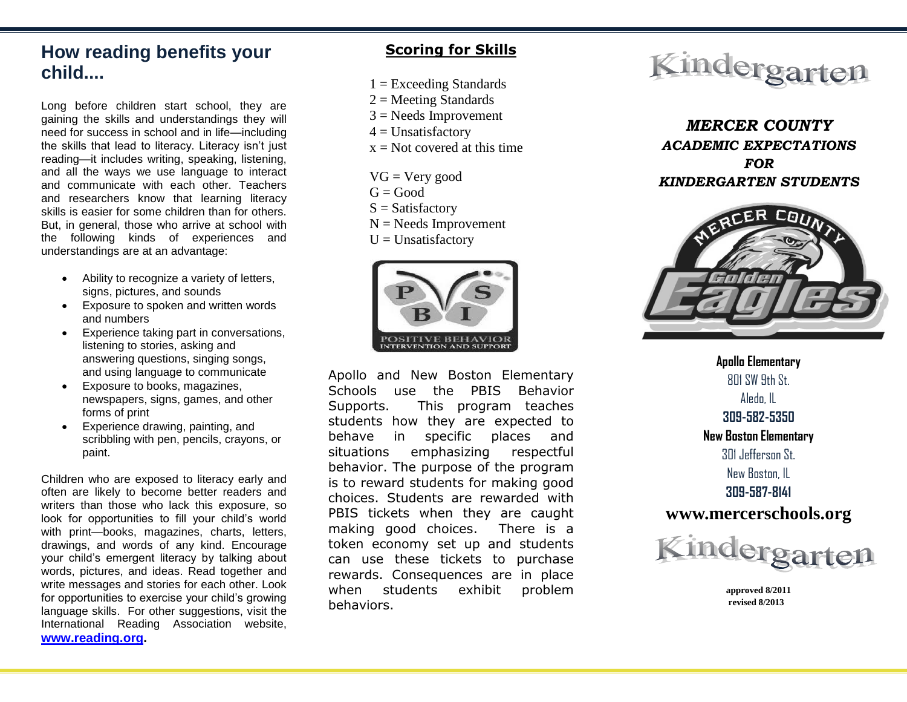# **How reading benefits your child....**

Long before children start school, they are gaining the skills and understandings they will need for success in school and in life—including the skills that lead to literacy. Literacy isn't just reading—it includes writing, speaking, listening, and all the ways we use language to interact and communicate with each other. Teachers and researchers know that learning literacy skills is easier for some children than for others. But, in general, those who arrive at school with the following kinds of experiences and understandings are at an advantage:

- Ability to recognize a variety of letters, signs, pictures, and sounds
- Exposure to spoken and written words and numbers
- Experience taking part in conversations, listening to stories, asking and answering questions, singing songs, and using language to communicate
- Exposure to books, magazines, newspapers, signs, games, and other forms of print
- Experience drawing, painting, and scribbling with pen, pencils, crayons, or paint.

Children who are exposed to literacy early and often are likely to become better readers and writers than those who lack this exposure, so look for opportunities to fill your child's world with print—books, magazines, charts, letters, drawings, and words of any kind. Encourage your child's emergent literacy by talking about words, pictures, and ideas. Read together and write messages and stories for each other. Look for opportunities to exercise your child's growing language skills. For other suggestions, visit the International Reading Association website, **[www.reading.org.](http://www.reading.org/)**

## **Scoring for Skills**

- $1 =$  Exceeding Standards
- $2 =$  Meeting Standards
- $3$  = Needs Improvement
- $4 =$  Unsatisfactory
- $x = Not covered at this time$
- $VG = Very good$
- $G = Good$
- $S = S$ atisfactory
- $N =$  Needs Improvement
- $U =$ Unsatisfactory



Apollo and New Boston Elementary Schools use the PBIS Behavior Supports. This program teaches students how they are expected to behave in specific places and situations emphasizing respectful behavior. The purpose of the program is to reward students for making good choices. Students are rewarded with PBIS tickets when they are caught making good choices. There is a token economy set up and students can use these tickets to purchase rewards. Consequences are in place when students exhibit problem behaviors.



*MERCER COUNTY ACADEMIC EXPECTATIONS FOR KINDERGARTEN STUDENTS*



**Apollo Elementary**  $801$  SW 9th St. Aledo, IL **309-582-5350 New Boston Elementary** 301 Jefferson St. New Boston, IL **309-587-8141 www.mercerschools.org**



 **approved 8/2011 revised 8/2013**